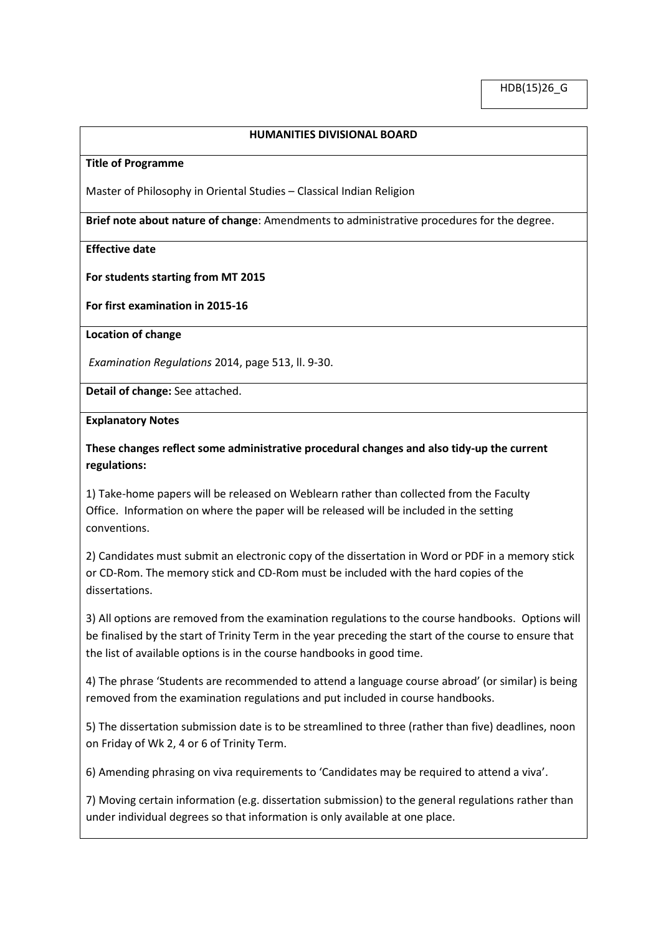### **HUMANITIES DIVISIONAL BOARD**

#### **Title of Programme**

Master of Philosophy in Oriental Studies – Classical Indian Religion

**Brief note about nature of change**: Amendments to administrative procedures for the degree.

#### **Effective date**

#### **For students starting from MT 2015**

**For first examination in 2015-16** 

#### **Location of change**

*Examination Regulations* 2014, page 513, ll. 9-30.

**Detail of change:** See attached.

#### **Explanatory Notes**

## **These changes reflect some administrative procedural changes and also tidy-up the current regulations:**

1) Take-home papers will be released on Weblearn rather than collected from the Faculty Office. Information on where the paper will be released will be included in the setting conventions.

2) Candidates must submit an electronic copy of the dissertation in Word or PDF in a memory stick or CD-Rom. The memory stick and CD-Rom must be included with the hard copies of the dissertations.

3) All options are removed from the examination regulations to the course handbooks. Options will be finalised by the start of Trinity Term in the year preceding the start of the course to ensure that the list of available options is in the course handbooks in good time.

4) The phrase 'Students are recommended to attend a language course abroad' (or similar) is being removed from the examination regulations and put included in course handbooks.

5) The dissertation submission date is to be streamlined to three (rather than five) deadlines, noon on Friday of Wk 2, 4 or 6 of Trinity Term.

6) Amending phrasing on viva requirements to 'Candidates may be required to attend a viva'.

7) Moving certain information (e.g. dissertation submission) to the general regulations rather than under individual degrees so that information is only available at one place.